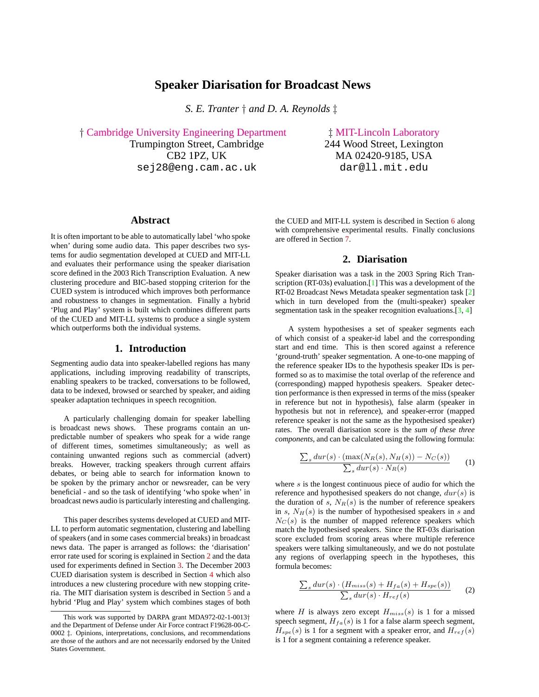# **Speaker Diarisation for Broadcast News**

*S. E. Tranter* † *and D. A. Reynolds* ‡

† [Cambridge University Engineering Department](http://mi.eng.cam.ac.uk) ‡ [MIT-Lincoln Laboratory](http://www.ll.mit.edu) Trumpington Street, Cambridge 244 Wood Street, Lexington CB2 1PZ, UK MA 02420-9185, USA sej28@eng.cam.ac.uk dar@ll.mit.edu

### **Abstract**

It is often important to be able to automatically label 'who spoke when' during some audio data. This paper describes two systems for audio segmentation developed at CUED and MIT-LL and evaluates their performance using the speaker diarisation score defined in the 2003 Rich Transcription Evaluation. A new clustering procedure and BIC-based stopping criterion for the CUED system is introduced which improves both performance and robustness to changes in segmentation. Finally a hybrid 'Plug and Play' system is built which combines different parts of the CUED and MIT-LL systems to produce a single system which outperforms both the individual systems.

## **1. Introduction**

Segmenting audio data into speaker-labelled regions has many applications, including improving readability of transcripts, enabling speakers to be tracked, conversations to be followed, data to be indexed, browsed or searched by speaker, and aiding speaker adaptation techniques in speech recognition.

A particularly challenging domain for speaker labelling is broadcast news shows. These programs contain an unpredictable number of speakers who speak for a wide range of different times, sometimes simultaneously; as well as containing unwanted regions such as commercial (advert) breaks. However, tracking speakers through current affairs debates, or being able to search for information known to be spoken by the primary anchor or newsreader, can be very beneficial - and so the task of identifying 'who spoke when' in broadcast news audio is particularly interesting and challenging.

This paper describes systems developed at CUED and MIT-LL to perform automatic segmentation, clustering and labelling of speakers (and in some cases commercial breaks) in broadcast news data. The paper is arranged as follows: the 'diarisation' error rate used for scoring is explained in Section 2 and the data used for experiments defined in Section [3.](#page-1-0) The December 2003 CUED diarisation system is described in Section [4](#page-1-0) which also introduces a new clustering procedure with new stopping criteria. The MIT diarisation system is described in Section [5](#page-4-0) and a hybrid 'Plug and Play' system which combines stages of both the CUED and MIT-LL system is described in Section [6](#page-5-0) along with comprehensive experimental results. Finally conclusions are offered in Section [7.](#page-6-0)

## **2. Diarisation**

Speaker diarisation was a task in the 2003 Spring Rich Tran-scription (RT-03s) evaluation.<sup>[\[1\]](#page-7-0)</sup> This was a development of the RT-02 Broadcast News Metadata speaker segmentation task [\[2\]](#page-7-0) which in turn developed from the (multi-speaker) speaker segmentation task in the speaker recognition evaluations.[\[3,](#page-7-0) [4\]](#page-7-0)

A system hypothesises a set of speaker segments each of which consist of a speaker-id label and the corresponding start and end time. This is then scored against a reference 'ground-truth' speaker segmentation. A one-to-one mapping of the reference speaker IDs to the hypothesis speaker IDs is performed so as to maximise the total overlap of the reference and (corresponding) mapped hypothesis speakers. Speaker detection performance is then expressed in terms of the miss (speaker in reference but not in hypothesis), false alarm (speaker in hypothesis but not in reference), and speaker-error (mapped reference speaker is not the same as the hypothesised speaker) rates. The overall diarisation score is the *sum of these three components*, and can be calculated using the following formula:

$$
\frac{\sum_{s} dur(s) \cdot (\max(N_{R}(s), N_{H}(s)) - N_{C}(s))}{\sum_{s} dur(s) \cdot N_{R}(s)}
$$
(1)

where  $s$  is the longest continuous piece of audio for which the reference and hypothesised speakers do not change,  $dur(s)$  is the duration of s,  $N_R(s)$  is the number of reference speakers in s,  $N_H(s)$  is the number of hypothesised speakers in s and  $N<sub>C</sub>(s)$  is the number of mapped reference speakers which match the hypothesised speakers. Since the RT-03s diarisation score excluded from scoring areas where multiple reference speakers were talking simultaneously, and we do not postulate any regions of overlapping speech in the hypotheses, this formula becomes:

$$
\frac{\sum_{s} dur(s) \cdot (H_{miss}(s) + H_{fa}(s) + H_{spe}(s))}{\sum_{s} dur(s) \cdot H_{ref}(s)}
$$
(2)

where H is always zero except  $H_{miss}(s)$  is 1 for a missed speech segment,  $H_{fa}(s)$  is 1 for a false alarm speech segment,  $H_{spe}(s)$  is 1 for a segment with a speaker error, and  $H_{ref}(s)$ is 1 for a segment containing a reference speaker.

This work was supported by DARPA grant MDA972-02-1-0013† and the Department of Defense under Air Force contract F19628-00-C-0002 ‡. Opinions, interpretations, conclusions, and recommendations are those of the authors and are not necessarily endorsed by the United States Government.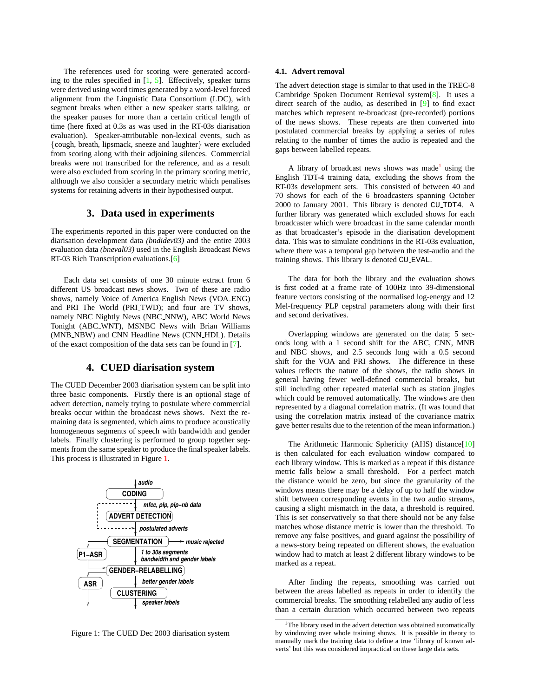<span id="page-1-0"></span>The references used for scoring were generated according to the rules specified in  $[1, 5]$  $[1, 5]$ . Effectively, speaker turns were derived using word times generated by a word-level forced alignment from the Linguistic Data Consortium (LDC), with segment breaks when either a new speaker starts talking, or the speaker pauses for more than a certain critical length of time (here fixed at 0.3s as was used in the RT-03s diarisation evaluation). Speaker-attributable non-lexical events, such as {cough, breath, lipsmack, sneeze and laughter} were excluded from scoring along with their adjoining silences. Commercial breaks were not transcribed for the reference, and as a result were also excluded from scoring in the primary scoring metric, although we also consider a secondary metric which penalises systems for retaining adverts in their hypothesised output.

## **3. Data used in experiments**

The experiments reported in this paper were conducted on the diarisation development data *(bndidev03)* and the entire 2003 evaluation data *(bneval03)* used in the English Broadcast News RT-03 Rich Transcription evaluations.[\[6\]](#page-7-0)

Each data set consists of one 30 minute extract from 6 different US broadcast news shows. Two of these are radio shows, namely Voice of America English News (VOA ENG) and PRI The World (PRI\_TWD); and four are TV shows, namely NBC Nightly News (NBC NNW), ABC World News Tonight (ABC WNT), MSNBC News with Brian Williams (MNB\_NBW) and CNN Headline News (CNN\_HDL). Details of the exact composition of the data sets can be found in [\[7\]](#page-7-0).

## **4. CUED diarisation system**

The CUED December 2003 diarisation system can be split into three basic components. Firstly there is an optional stage of advert detection, namely trying to postulate where commercial breaks occur within the broadcast news shows. Next the remaining data is segmented, which aims to produce acoustically homogeneous segments of speech with bandwidth and gender labels. Finally clustering is performed to group together segments from the same speaker to produce the final speaker labels. This process is illustrated in Figure 1.



Figure 1: The CUED Dec 2003 diarisation system

#### **4.1. Advert removal**

The advert detection stage is similar to that used in the TREC-8 Cambridge Spoken Document Retrieval system[\[8\]](#page-7-0). It uses a direct search of the audio, as described in [\[9\]](#page-7-0) to find exact matches which represent re-broadcast (pre-recorded) portions of the news shows. These repeats are then converted into postulated commercial breaks by applying a series of rules relating to the number of times the audio is repeated and the gaps between labelled repeats.

A library of broadcast news shows was made<sup>1</sup> using the English TDT-4 training data, excluding the shows from the RT-03s development sets. This consisted of between 40 and 70 shows for each of the 6 broadcasters spanning October 2000 to January 2001. This library is denoted CU TDT4. A further library was generated which excluded shows for each broadcaster which were broadcast in the same calendar month as that broadcaster's episode in the diarisation development data. This was to simulate conditions in the RT-03s evaluation, where there was a temporal gap between the test-audio and the training shows. This library is denoted CU EVAL.

The data for both the library and the evaluation shows is first coded at a frame rate of 100Hz into 39-dimensional feature vectors consisting of the normalised log-energy and 12 Mel-frequency PLP cepstral parameters along with their first and second derivatives.

Overlapping windows are generated on the data; 5 seconds long with a 1 second shift for the ABC, CNN, MNB and NBC shows, and 2.5 seconds long with a 0.5 second shift for the VOA and PRI shows. The difference in these values reflects the nature of the shows, the radio shows in general having fewer well-defined commercial breaks, but still including other repeated material such as station jingles which could be removed automatically. The windows are then represented by a diagonal correlation matrix. (It was found that using the correlation matrix instead of the covariance matrix gave better results due to the retention of the mean information.)

The Arithmetic Harmonic Sphericity (AHS) distance<sup>[\[10\]](#page-7-0)</sup> is then calculated for each evaluation window compared to each library window. This is marked as a repeat if this distance metric falls below a small threshold. For a perfect match the distance would be zero, but since the granularity of the windows means there may be a delay of up to half the window shift between corresponding events in the two audio streams, causing a slight mismatch in the data, a threshold is required. This is set conservatively so that there should not be any false matches whose distance metric is lower than the threshold. To remove any false positives, and guard against the possibility of a news-story being repeated on different shows, the evaluation window had to match at least 2 different library windows to be marked as a repeat.

After finding the repeats, smoothing was carried out between the areas labelled as repeats in order to identify the commercial breaks. The smoothing relabelled any audio of less than a certain duration which occurred between two repeats

 $1$ The library used in the advert detection was obtained automatically by windowing over whole training shows. It is possible in theory to manually mark the training data to define a true 'library of known adverts' but this was considered impractical on these large data sets.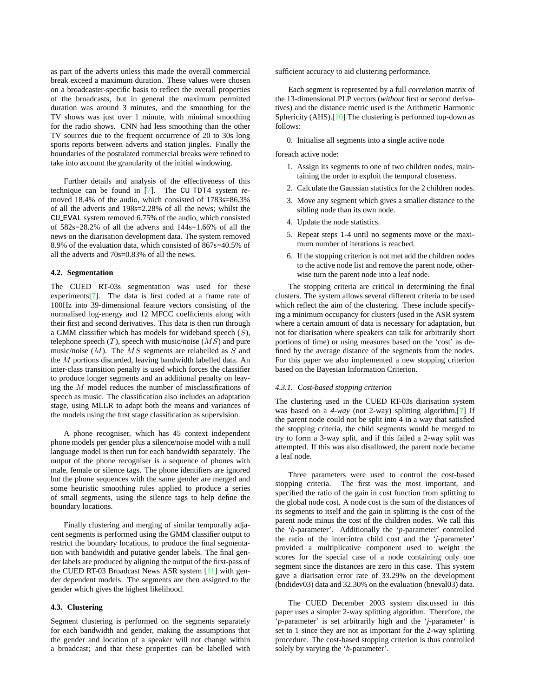<span id="page-2-0"></span>as part of the adverts unless this made the overall commercial break exceed a maximum duration. These values were chosen on a broadcaster-specific basis to reflect the overall properties of the broadcasts, but in general the maximum permitted duration was around 3 minutes, and the smoothing for the TV shows was just over 1 minute, with minimal smoothing for the radio shows. CNN had less smoothing than the other TV sources due to the frequent occurrence of 20 to 30s long sports reports between adverts and station jingles. Finally the boundaries of the postulated commercial breaks were refined to take into account the granularity of the initial windowing.

Further details and analysis of the effectiveness of this technique can be found in  $[7]$ . The CU\_TDT4 system removed 18.4% of the audio, which consisted of 1783s=86.3% of all the adverts and 198s=2.28% of all the news; whilst the CU EVAL system removed 6.75% of the audio, which consisted of 582s=28.2% of all the adverts and 144s=1.66% of all the news on the diarisation development data. The system removed 8.9% of the evaluation data, which consisted of 867s=40.5% of all the adverts and 70s=0.83% of all the news.

### **4.2. Segmentation**

The CUED RT-03s segmentation was used for these experiments[\[7\]](#page-7-0). The data is first coded at a frame rate of 100Hz into 39-dimensional feature vectors consisting of the normalised log-energy and 12 MFCC coefficients along with their first and second derivatives. This data is then run through a GMM classifier which has models for wideband speech  $(S)$ , telephone speech  $(T)$ , speech with music/noise  $(MS)$  and pure music/noise  $(M)$ . The MS segments are relabelled as S and the M portions discarded, leaving bandwidth labelled data. An inter-class transition penalty is used which forces the classifier to produce longer segments and an additional penalty on leaving the M model reduces the number of misclassifications of speech as music. The classification also includes an adaptation stage, using MLLR to adapt both the means and variances of the models using the first stage classification as supervision.

A phone recogniser, which has 45 context independent phone models per gender plus a silence/noise model with a null language model is then run for each bandwidth separately. The output of the phone recogniser is a sequence of phones with male, female or silence tags. The phone identifiers are ignored but the phone sequences with the same gender are merged and some heuristic smoothing rules applied to produce a series of small segments, using the silence tags to help define the boundary locations.

Finally clustering and merging of similar temporally adjacent segments is performed using the GMM classifier output to restrict the boundary locations, to produce the final segmentation with bandwidth and putative gender labels. The final gender labels are produced by aligning the output of the first-pass of the CUED RT-03 Broadcast News ASR system [\[11\]](#page-7-0) with gender dependent models. The segments are then assigned to the gender which gives the highest likelihood.

#### **4.3. Clustering**

Segment clustering is performed on the segments separately for each bandwidth and gender, making the assumptions that the gender and location of a speaker will not change within a broadcast; and that these properties can be labelled with sufficient accuracy to aid clustering performance.

Each segment is represented by a full *correlation* matrix of the 13-dimensional PLP vectors (*without* first or second derivatives) and the distance metric used is the Arithmetic Harmonic Sphericity (AHS).<sup>[\[10\]](#page-7-0)</sup> The clustering is performed top-down as follows:

0. Initialise all segments into a single active node

foreach active node:

- 1. Assign its segments to one of two children nodes, maintaining the order to exploit the temporal closeness.
- 2. Calculate the Gaussian statistics for the 2 children nodes.
- 3. Move any segment which gives a smaller distance to the sibling node than its own node.
- 4. Update the node statistics.
- 5. Repeat steps 1-4 until no segments move or the maximum number of iterations is reached.
- 6. If the stopping criterion is not met add the children nodes to the active node list and remove the parent node, otherwise turn the parent node into a leaf node.

The stopping criteria are critical in determining the final clusters. The system allows several different criteria to be used which reflect the aim of the clustering. These include specifying a minimum occupancy for clusters (used in the ASR system where a certain amount of data is necessary for adaptation, but not for diarisation where speakers can talk for arbitrarily short portions of time) or using measures based on the 'cost' as defined by the average distance of the segments from the nodes. For this paper we also implemented a new stopping criterion based on the Bayesian Information Criterion.

#### *4.3.1. Cost-based stopping criterion*

The clustering used in the CUED RT-03s diarisation system was based on a *4-way* (not 2-way) splitting algorithm.[\[7\]](#page-7-0) If the parent node could not be split into 4 in a way that satisfied the stopping criteria, the child segments would be merged to try to form a 3-way split, and if this failed a 2-way split was attempted. If this was also disallowed, the parent node became a leaf node.

Three parameters were used to control the cost-based stopping criteria. The first was the most important, and specified the ratio of the gain in cost function from splitting to the global node cost. A node cost is the sum of the distances of its segments to itself and the gain in splitting is the cost of the parent node minus the cost of the children nodes. We call this the '*h*-parameter'. Additionally the '*p*-parameter' controlled the ratio of the inter:intra child cost and the '*j*-parameter' provided a multiplicative component used to weight the scores for the special case of a node containing only one segment since the distances are zero in this case. This system gave a diarisation error rate of 33.29% on the development (bndidev03) data and 32.30% on the evaluation (bneval03) data.

The CUED December 2003 system discussed in this paper uses a simpler 2-way splitting algorithm. Therefore, the '*p*-parameter' is set arbitrarily high and the '*j*-parameter' is set to 1 since they are not as important for the 2-way splitting procedure. The cost-based stopping criterion is thus controlled solely by varying the '*h*-parameter'.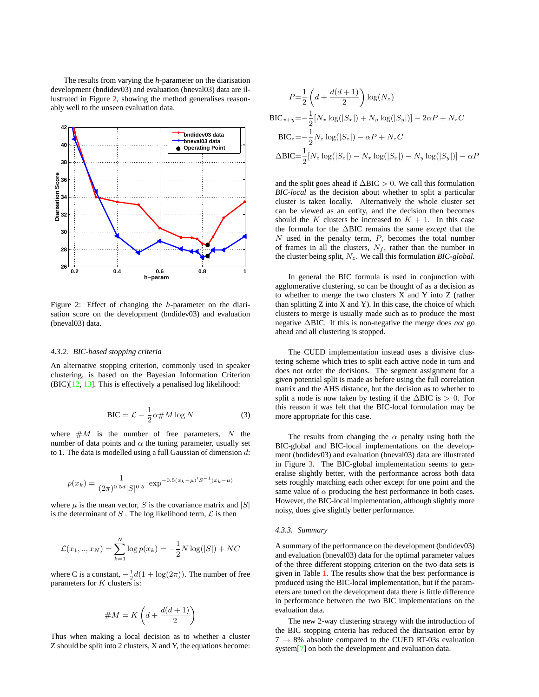<span id="page-3-0"></span>The results from varying the *h*-parameter on the diarisation development (bndidev03) and evaluation (bneval03) data are illustrated in Figure 2, showing the method generalises reasonably well to the unseen evaluation data.



Figure 2: Effect of changing the h-parameter on the diarisation score on the development (bndidev03) and evaluation (bneval03) data.

### *4.3.2. BIC-based stopping criteria*

An alternative stopping criterion, commonly used in speaker clustering, is based on the Bayesian Information Criterion (BIC)[\[12,](#page-7-0) [13\]](#page-7-0). This is effectively a penalised log likelihood:

$$
BIC = \mathcal{L} - \frac{1}{2}\alpha \# M \log N \tag{3}
$$

where  $#M$  is the number of free parameters, N the number of data points and  $\alpha$  the tuning parameter, usually set to 1. The data is modelled using a full Gaussian of dimension  $d$ :

$$
p(x_k) = \frac{1}{(2\pi)^{0.5d} |S|^{0.5}} \exp^{-0.5(x_k - \mu)'S^{-1}(x_k - \mu)}
$$

where  $\mu$  is the mean vector, S is the covariance matrix and  $|S|$ is the determinant of  $S$  . The log likelihood term,  ${\mathcal L}$  is then

$$
\mathcal{L}(x_1, ..., x_N) = \sum_{k=1}^{N} \log p(x_k) = -\frac{1}{2} N \log(|S|) + NC
$$

where C is a constant,  $-\frac{1}{2}d(1 + \log(2\pi))$ . The number of free parameters for  $K$  clusters is:

$$
\# M = K\left(d+\frac{d(d+1)}{2}\right)
$$

Thus when making a local decision as to whether a cluster Z should be split into 2 clusters, X and Y, the equations become:

$$
P = \frac{1}{2} \left( d + \frac{d(d+1)}{2} \right) \log(N_z)
$$
  
\n
$$
BIC_{x+y} = -\frac{1}{2} [N_x \log(|S_x|) + N_y \log(|S_y|)] - 2\alpha P + N_z C
$$
  
\n
$$
BIC_z = -\frac{1}{2} N_z \log(|S_z|) - \alpha P + N_z C
$$
  
\n
$$
\Delta BIC = \frac{1}{2} [N_z \log(|S_z|) - N_x \log(|S_x|) - N_y \log(|S_y|)] - \alpha P
$$

and the split goes ahead if  $\Delta BIC > 0$ . We call this formulation *BIC-local* as the decision about whether to split a particular cluster is taken locally. Alternatively the whole cluster set can be viewed as an entity, and the decision then becomes should the K clusters be increased to  $K + 1$ . In this case the formula for the ∆BIC remains the same *except* that the  $N$  used in the penalty term,  $P$ , becomes the total number of frames in all the clusters,  $N_f$ , rather than the number in the cluster being split,  $N_z$ . We call this formulation *BIC-global*.

In general the BIC formula is used in conjunction with agglomerative clustering, so can be thought of as a decision as to whether to merge the two clusters X and Y into Z (rather than splitting  $Z$  into  $X$  and  $Y$ ). In this case, the choice of which clusters to merge is usually made such as to produce the most negative ∆BIC. If this is non-negative the merge does *not* go ahead and all clustering is stopped.

The CUED implementation instead uses a divisive clustering scheme which tries to split each active node in turn and does not order the decisions. The segment assignment for a given potential split is made as before using the full correlation matrix and the AHS distance, but the decision as to whether to split a node is now taken by testing if the  $\triangle BIC$  is > 0. For this reason it was felt that the BIC-local formulation may be more appropriate for this case.

The results from changing the  $\alpha$  penalty using both the BIC-global and BIC-local implementations on the development (bndidev03) and evaluation (bneval03) data are illustrated in Figure [3.](#page-4-0) The BIC-global implementation seems to generalise slightly better, with the performance across both data sets roughly matching each other except for one point and the same value of  $\alpha$  producing the best performance in both cases. However, the BIC-local implementation, although slightly more noisy, does give slightly better performance.

#### *4.3.3. Summary*

A summary of the performance on the development (bndidev03) and evaluation (bneval03) data for the optimal parameter values of the three different stopping criterion on the two data sets is given in Table [1.](#page-4-0) The results show that the best performance is produced using the BIC-local implementation, but if the parameters are tuned on the development data there is little difference in performance between the two BIC implementations on the evaluation data.

The new 2-way clustering strategy with the introduction of the BIC stopping criteria has reduced the diarisation error by  $7 \rightarrow 8\%$  absolute compared to the CUED RT-03s evaluation system[\[7\]](#page-7-0) on both the development and evaluation data.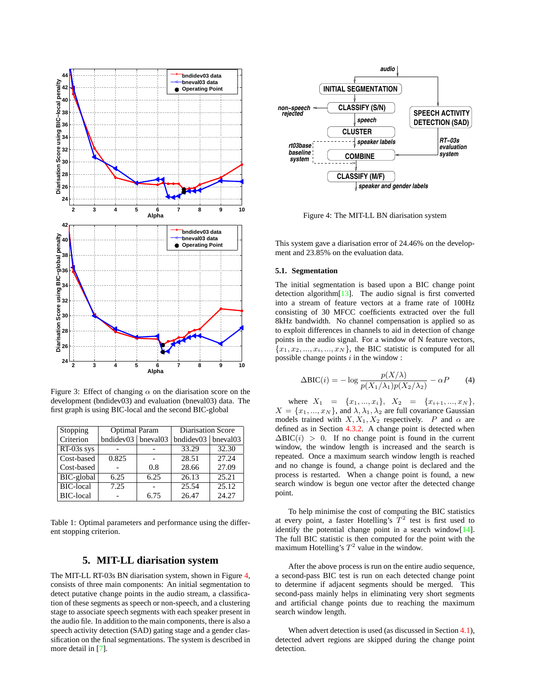<span id="page-4-0"></span>

Figure 3: Effect of changing  $\alpha$  on the diarisation score on the development (bndidev03) and evaluation (bneval03) data. The first graph is using BIC-local and the second BIC-global

| Stopping         | <b>Optimal Param</b>       |      | Diarisation Score    |       |  |
|------------------|----------------------------|------|----------------------|-------|--|
| Criterion        | bndidev $03$   bneval $03$ |      | bndidev03   bneval03 |       |  |
| $RT-03s$ sys     |                            |      | 33.29                | 32.30 |  |
| Cost-based       | 0.825                      |      | 28.51                | 27.24 |  |
| Cost-based       |                            | 0.8  | 28.66                | 27.09 |  |
| BIC-global       | 6.25                       | 6.25 | $\overline{26.13}$   | 25.21 |  |
| <b>BIC-local</b> | 7.25                       |      | 25.54                | 25.12 |  |
| <b>BIC-local</b> |                            | 6.75 | 26.47                | 24.27 |  |

Table 1: Optimal parameters and performance using the different stopping criterion.

## **5. MIT-LL diarisation system**

The MIT-LL RT-03s BN diarisation system, shown in Figure 4, consists of three main components: An initial segmentation to detect putative change points in the audio stream, a classification of these segments as speech or non-speech, and a clustering stage to associate speech segments with each speaker present in the audio file. In addition to the main components, there is also a speech activity detection (SAD) gating stage and a gender classification on the final segmentations. The system is described in more detail in [\[7\]](#page-7-0).



Figure 4: The MIT-LL BN diarisation system

This system gave a diarisation error of 24.46% on the development and 23.85% on the evaluation data.

### **5.1. Segmentation**

The initial segmentation is based upon a BIC change point detection algorithm[\[13\]](#page-7-0). The audio signal is first converted into a stream of feature vectors at a frame rate of 100Hz consisting of 30 MFCC coefficients extracted over the full 8kHz bandwidth. No channel compensation is applied so as to exploit differences in channels to aid in detection of change points in the audio signal. For a window of N feature vectors,  ${x_1, x_2, ..., x_i, ..., x_N}$ , the BIC statistic is computed for all possible change points  $i$  in the window :

$$
\Delta \text{BIC}(i) = -\log \frac{p(X/\lambda)}{p(X_1/\lambda_1)p(X_2/\lambda_2)} - \alpha P \tag{4}
$$

where  $X_1 = \{x_1, ..., x_i\}, X_2 = \{x_{i+1}, ..., x_N\},$  $X = \{x_1, ..., x_N\}$ , and  $\lambda, \lambda_1, \lambda_2$  are full covariance Gaussian models trained with  $X, X_1, X_2$  respectively. P and  $\alpha$  are defined as in Section [4.3.2.](#page-3-0) A change point is detected when  $\Delta BIC(i) > 0$ . If no change point is found in the current window, the window length is increased and the search is repeated. Once a maximum search window length is reached and no change is found, a change point is declared and the process is restarted. When a change point is found, a new search window is begun one vector after the detected change point.

To help minimise the cost of computing the BIC statistics at every point, a faster Hotelling's  $T^2$  test is first used to identify the potential change point in a search window[\[14\]](#page-7-0). The full BIC statistic is then computed for the point with the maximum Hotelling's  $T^2$  value in the window.

After the above process is run on the entire audio sequence, a second-pass BIC test is run on each detected change point to determine if adjacent segments should be merged. This second-pass mainly helps in eliminating very short segments and artificial change points due to reaching the maximum search window length.

When advert detection is used (as discussed in Section [4.1\)](#page-1-0), detected advert regions are skipped during the change point detection.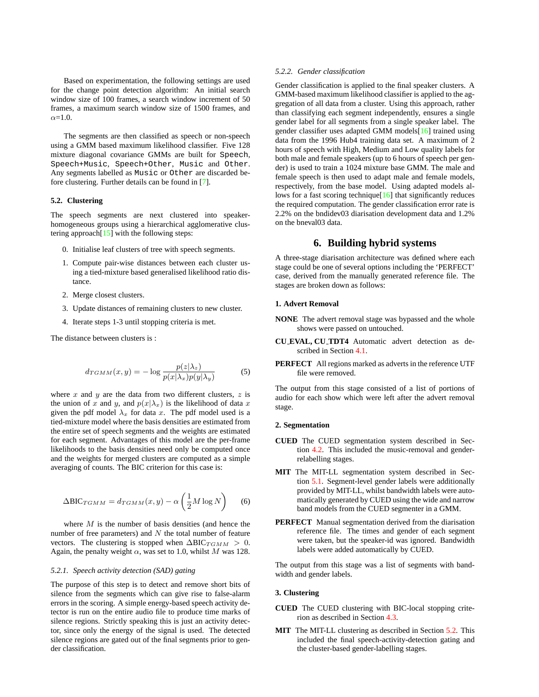<span id="page-5-0"></span>Based on experimentation, the following settings are used for the change point detection algorithm: An initial search window size of 100 frames, a search window increment of 50 frames, a maximum search window size of 1500 frames, and  $\alpha$ =1.0.

The segments are then classified as speech or non-speech using a GMM based maximum likelihood classifier. Five 128 mixture diagonal covariance GMMs are built for Speech, Speech+Music, Speech+Other, Music and Other. Any segments labelled as Music or Other are discarded before clustering. Further details can be found in [\[7\]](#page-7-0).

#### **5.2. Clustering**

The speech segments are next clustered into speakerhomogeneous groups using a hierarchical agglomerative clustering approach $[15]$  with the following steps:

- 0. Initialise leaf clusters of tree with speech segments.
- 1. Compute pair-wise distances between each cluster using a tied-mixture based generalised likelihood ratio distance.
- 2. Merge closest clusters.
- 3. Update distances of remaining clusters to new cluster.
- 4. Iterate steps 1-3 until stopping criteria is met.

The distance between clusters is :

$$
d_{TGMM}(x,y) = -\log \frac{p(z|\lambda_z)}{p(x|\lambda_x)p(y|\lambda_y)}
$$
(5)

where x and y are the data from two different clusters,  $z$  is the union of x and y, and  $p(x|\lambda_x)$  is the likelihood of data x given the pdf model  $\lambda_x$  for data x. The pdf model used is a tied-mixture model where the basis densities are estimated from the entire set of speech segments and the weights are estimated for each segment. Advantages of this model are the per-frame likelihoods to the basis densities need only be computed once and the weights for merged clusters are computed as a simple averaging of counts. The BIC criterion for this case is:

$$
\Delta \text{BIC}_{TGMM} = d_{TGMM}(x, y) - \alpha \left(\frac{1}{2}M \log N\right) \tag{6}
$$

where  $M$  is the number of basis densities (and hence the number of free parameters) and  $N$  the total number of feature vectors. The clustering is stopped when  $\Delta BIC_{TGMM} > 0$ . Again, the penalty weight  $\alpha$ , was set to 1.0, whilst M was 128.

## *5.2.1. Speech activity detection (SAD) gating*

The purpose of this step is to detect and remove short bits of silence from the segments which can give rise to false-alarm errors in the scoring. A simple energy-based speech activity detector is run on the entire audio file to produce time marks of silence regions. Strictly speaking this is just an activity detector, since only the energy of the signal is used. The detected silence regions are gated out of the final segments prior to gender classification.

#### *5.2.2. Gender classification*

Gender classification is applied to the final speaker clusters. A GMM-based maximum likelihood classifier is applied to the aggregation of all data from a cluster. Using this approach, rather than classifying each segment independently, ensures a single gender label for all segments from a single speaker label. The gender classifier uses adapted GMM models[\[16\]](#page-7-0) trained using data from the 1996 Hub4 training data set. A maximum of 2 hours of speech with High, Medium and Low quality labels for both male and female speakers (up to 6 hours of speech per gender) is used to train a 1024 mixture base GMM. The male and female speech is then used to adapt male and female models, respectively, from the base model. Using adapted models allows for a fast scoring technique $[16]$  that significantly reduces the required computation. The gender classification error rate is 2.2% on the bndidev03 diarisation development data and 1.2% on the bneval03 data.

## **6. Building hybrid systems**

A three-stage diarisation architecture was defined where each stage could be one of several options including the 'PERFECT' case, derived from the manually generated reference file. The stages are broken down as follows:

### **1. Advert Removal**

- **NONE** The advert removal stage was bypassed and the whole shows were passed on untouched.
- **CU EVAL, CU TDT4** Automatic advert detection as described in Section [4.1.](#page-1-0)
- **PERFECT** All regions marked as adverts in the reference UTF file were removed.

The output from this stage consisted of a list of portions of audio for each show which were left after the advert removal stage.

### **2. Segmentation**

- **CUED** The CUED segmentation system described in Section [4.2.](#page-2-0) This included the music-removal and genderrelabelling stages.
- **MIT** The MIT-LL segmentation system described in Section [5.1.](#page-4-0) Segment-level gender labels were additionally provided by MIT-LL, whilst bandwidth labels were automatically generated by CUED using the wide and narrow band models from the CUED segmenter in a GMM.
- **PERFECT** Manual segmentation derived from the diarisation reference file. The times and gender of each segment were taken, but the speaker-id was ignored. Bandwidth labels were added automatically by CUED.

The output from this stage was a list of segments with bandwidth and gender labels.

### **3. Clustering**

- **CUED** The CUED clustering with BIC-local stopping criterion as described in Section [4.3.](#page-2-0)
- **MIT** The MIT-LL clustering as described in Section 5.2. This included the final speech-activity-detection gating and the cluster-based gender-labelling stages.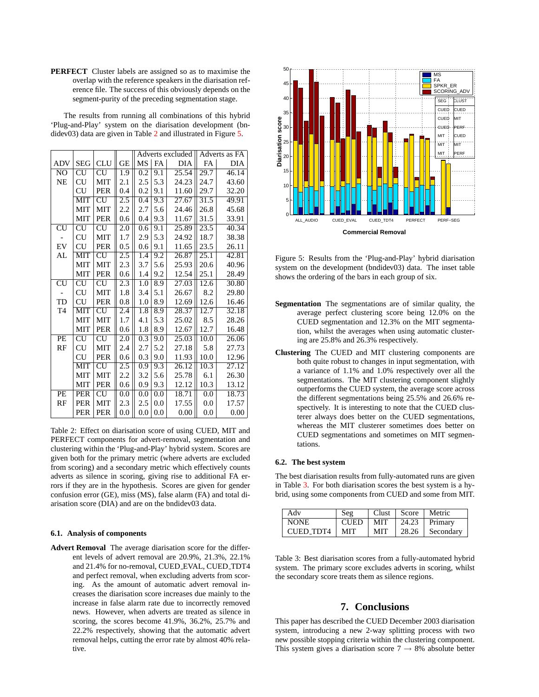<span id="page-6-0"></span>**PERFECT** Cluster labels are assigned so as to maximise the overlap with the reference speakers in the diarisation reference file. The success of this obviously depends on the segment-purity of the preceding segmentation stage.

The results from running all combinations of this hybrid 'Plug-and-Play' system on the diarisation development (bndidev03) data are given in Table 2 and illustrated in Figure 5.

|                          |                          |                          |                  | Adverts excluded |                  | Adverts as FA |      |       |
|--------------------------|--------------------------|--------------------------|------------------|------------------|------------------|---------------|------|-------|
| <b>ADV</b>               | <b>SEG</b>               | <b>CLU</b>               | <b>GE</b>        | MS               | <b>FA</b>        | <b>DIA</b>    | FA   | DIA   |
| N <sub>O</sub>           | CU                       | <b>CU</b>                | 1.9              | 0.2              | 9.1              | 25.54         | 29.7 | 46.14 |
| NE                       | CU                       | <b>MIT</b>               | 2.1              | 2.5              | 5.3              | 24.23         | 24.7 | 43.60 |
|                          | CU                       | <b>PER</b>               | 0.4              | 0.2              | 9.1              | 11.60         | 29.7 | 32.20 |
|                          | <b>MIT</b>               | $\overline{\rm{CU}}$     | $2.\overline{5}$ | $\overline{0.4}$ | 9.3              | 27.67         | 31.5 | 49.91 |
|                          | MIT                      | <b>MIT</b>               | 2.2              | 2.7              | 5.6              | 24.46         | 26.8 | 45.68 |
|                          | <b>MIT</b>               | <b>PER</b>               | 0.6              | 0.4              | 9.3              | 11.67         | 31.5 | 33.91 |
| $\overline{\text{CU}}$   | $\overline{\mathrm{CU}}$ | CU                       | 2.0              | 0.6              | 9.1              | 25.89         | 23.5 | 40.34 |
|                          | CU                       | MIT                      | 1.7              | 2.9              | 5.3              | 24.92         | 18.7 | 38.38 |
| EV                       | CU                       | <b>PER</b>               | 0.5              | 0.6              | 9.1              | 11.65         | 23.5 | 26.11 |
| AL                       | <b>MIT</b>               | $\overline{\text{CU}}$   | 2.5              | 1.4              | 9.2              | 26.87         | 25.1 | 42.81 |
|                          | MIT                      | <b>MIT</b>               | 2.3              | 3.7              | 5.6              | 25.93         | 20.6 | 40.96 |
|                          | MIT                      | <b>PER</b>               | 0.6              | 1.4              | 9.2              | 12.54         | 25.1 | 28.49 |
| $\overline{\mathrm{CU}}$ | CU                       | $\overline{\mathrm{CU}}$ | 2.3              | 1.0              | 8.9              | 27.03         | 12.6 | 30.80 |
|                          | CU                       | <b>MIT</b>               | 1.8              | 3.4              | 5.1              | 26.67         | 8.2  | 29.80 |
| TD                       | CU                       | <b>PER</b>               | 0.8              | 1.0              | 8.9              | 12.69         | 12.6 | 16.46 |
| T <sub>4</sub>           | $\overline{\text{MIT}}$  | $\overline{\rm CU}$      | $\overline{2.4}$ | 1.8              | $\overline{8.9}$ | 28.37         | 12.7 | 32.18 |
|                          | MIT                      | <b>MIT</b>               | 1.7              | 4.1              | 5.3              | 25.02         | 8.5  | 28.26 |
|                          | <b>MIT</b>               | <b>PER</b>               | 0.6              | 1.8              | 8.9              | 12.67         | 12.7 | 16.48 |
| PE                       | CU                       | <b>CU</b>                | 2.0              | 0.3              | 9.0              | 25.03         | 10.0 | 26.06 |
| RF                       | CU                       | <b>MIT</b>               | 2.4              | 2.7              | 5.2              | 27.18         | 5.8  | 27.73 |
|                          | CU                       | <b>PER</b>               | 0.6              | 0.3              | 9.0              | 11.93         | 10.0 | 12.96 |
|                          | <b>MIT</b>               | $\overline{\rm C}$ U     | $\overline{2.5}$ | $\overline{0.9}$ | $9.\overline{3}$ | 26.12         | 10.3 | 27.12 |
|                          | <b>MIT</b>               | <b>MIT</b>               | 2.2              | 3.2              | 5.6              | 25.78         | 6.1  | 26.30 |
|                          | <b>MIT</b>               | <b>PER</b>               | 0.6              | 0.9              | 9.3              | 12.12         | 10.3 | 13.12 |
| PE                       | <b>PER</b>               | $\overline{\mathrm{CU}}$ | 0.0              | 0.0              | 0.0              | 18.71         | 0.0  | 18.73 |
| RF                       | PER                      | <b>MIT</b>               | 2.3              | 2.5              | 0.0              | 17.55         | 0.0  | 17.57 |
|                          | PER                      | <b>PER</b>               | 0.0              | 0.0              | 0.0              | 0.00          | 0.0  | 0.00  |

Table 2: Effect on diarisation score of using CUED, MIT and PERFECT components for advert-removal, segmentation and clustering within the 'Plug-and-Play' hybrid system. Scores are given both for the primary metric (where adverts are excluded from scoring) and a secondary metric which effectively counts adverts as silence in scoring, giving rise to additional FA errors if they are in the hypothesis. Scores are given for gender confusion error (GE), miss (MS), false alarm (FA) and total diarisation score (DIA) and are on the bndidev03 data.

### **6.1. Analysis of components**

**Advert Removal** The average diarisation score for the different levels of advert removal are 20.9%, 21.3%, 22.1% and 21.4% for no-removal, CUED EVAL, CUED TDT4 and perfect removal, when excluding adverts from scoring. As the amount of automatic advert removal increases the diarisation score increases due mainly to the increase in false alarm rate due to incorrectly removed news. However, when adverts are treated as silence in scoring, the scores become 41.9%, 36.2%, 25.7% and 22.2% respectively, showing that the automatic advert removal helps, cutting the error rate by almost 40% relative.



Figure 5: Results from the 'Plug-and-Play' hybrid diarisation system on the development (bndidev03) data. The inset table shows the ordering of the bars in each group of six.

- **Segmentation** The segmentations are of similar quality, the average perfect clustering score being 12.0% on the CUED segmentation and 12.3% on the MIT segmentation, whilst the averages when using automatic clustering are 25.8% and 26.3% respectively.
- **Clustering** The CUED and MIT clustering components are both quite robust to changes in input segmentation, with a variance of 1.1% and 1.0% respectively over all the segmentations. The MIT clustering component slightly outperforms the CUED system, the average score across the different segmentations being 25.5% and 26.6% respectively. It is interesting to note that the CUED clusterer always does better on the CUED segmentations, whereas the MIT clusterer sometimes does better on CUED segmentations and sometimes on MIT segmentations.

#### **6.2. The best system**

The best diarisation results from fully-automated runs are given in Table 3. For both diarisation scores the best system is a hybrid, using some components from CUED and some from MIT.

| Adv              | Seg         | Clust |       | Score   Metric |
|------------------|-------------|-------|-------|----------------|
| <b>NONE</b>      | <b>CUED</b> | MIT   | 24.23 | Primary        |
| <b>CUED TDT4</b> | <b>MIT</b>  | MIT   | 28.26 | Secondary      |

Table 3: Best diarisation scores from a fully-automated hybrid system. The primary score excludes adverts in scoring, whilst the secondary score treats them as silence regions.

### **7. Conclusions**

This paper has described the CUED December 2003 diarisation system, introducing a new 2-way splitting process with two new possible stopping criteria within the clustering component. This system gives a diarisation score  $7 \rightarrow 8\%$  absolute better